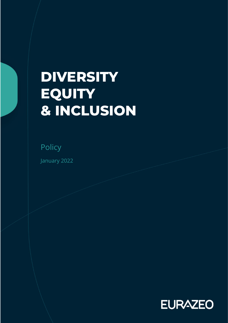# **DIVERSITY EQUITY & INCLUSION**

Policy January 2022

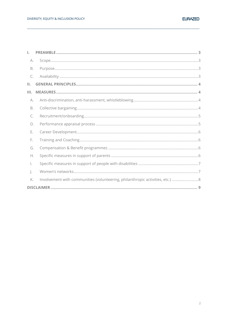

| L.           |                                                                             |
|--------------|-----------------------------------------------------------------------------|
| A.           |                                                                             |
| В.           |                                                                             |
| C.           |                                                                             |
| П.           |                                                                             |
| III.         |                                                                             |
| A.           |                                                                             |
| В.           |                                                                             |
| C.           |                                                                             |
| D.           |                                                                             |
| Ε.           |                                                                             |
| F.           |                                                                             |
| G.           |                                                                             |
| Н.           |                                                                             |
| $\mathbf{L}$ |                                                                             |
| $\cdot$      |                                                                             |
| K.           | Involvement with communities (volunteering, philanthropic activities, etc.) |
|              |                                                                             |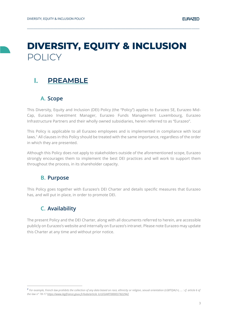## **DIVERSITY, EQUITY & INCLUSION**  POLICY

**\_\_\_\_\_\_\_\_\_\_\_\_\_\_\_\_\_\_\_\_\_\_\_\_\_\_\_\_\_\_\_\_\_\_\_\_\_\_\_\_\_\_\_\_\_\_\_\_\_\_\_\_\_\_\_\_\_\_\_\_\_\_\_\_\_\_\_\_\_\_\_\_\_\_\_\_\_\_\_\_\_\_\_\_\_\_\_\_\_\_\_\_\_\_\_\_\_\_\_\_\_\_\_\_\_\_\_\_\_\_\_\_\_\_\_\_\_\_\_\_\_\_\_\_\_\_\_\_\_\_\_**

## <span id="page-2-0"></span>**I. PREAMBLE**

#### **A. Scope**

<span id="page-2-1"></span>This Diversity, Equity and Inclusion (DEI) Policy (the "Policy") applies to Eurazeo SE, Eurazeo Mid-Cap, Eurazeo Investment Manager, Eurazeo Funds Management Luxembourg, Eurazeo Infrastructure Partners and their wholly owned subsidiaries, herein referred to as "Eurazeo".

This Policy is applicable to all Eurazeo employees and is implemented in compliance with local laws.<sup>1</sup> All clauses in this Policy should be treated with the same importance, regardless of the order in which they are presented.

Although this Policy does not apply to stakeholders outside of the aforementioned scope, Eurazeo strongly encourages them to implement the best DEI practices and will work to support them throughout the process, in its shareholder capacity.

#### **B. Purpose**

<span id="page-2-2"></span>This Policy goes together with Eurazeo's DEI Charter and details specific measures that Eurazeo has, and will put in place, in order to promote DEI.

#### **C. Availability**

<span id="page-2-3"></span>The present Policy and the DEI Charter, along with all documents referred to herein, are accessible publicly on Eurazeo's website and internally on Eurazeo's intranet. Please note Eurazeo may update this Charter at any time and without prior notice.

*<sup>1</sup> For example, French law prohibits the collection of any data based on race, ethnicity or religion, sexual orientation (LGBTQIA2+), … : cf. article 6 of the law n° 78-1[7 https://www.legifrance.gouv.fr/loda/article\\_lc/LEGIARTI000037822942](https://www.legifrance.gouv.fr/loda/article_lc/LEGIARTI000037822942)*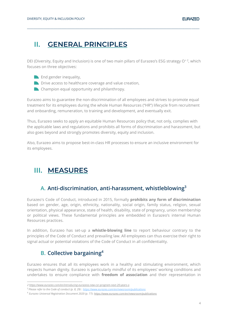## <span id="page-3-0"></span>**II. GENERAL PRINCIPLES**

DEI (Diversity, Equity and Inclusion) is one of two main pillars of Eurazeo's ESG strategy  $O^{+2}$ , which focuses on three objectives:

**\_\_\_\_\_\_\_\_\_\_\_\_\_\_\_\_\_\_\_\_\_\_\_\_\_\_\_\_\_\_\_\_\_\_\_\_\_\_\_\_\_\_\_\_\_\_\_\_\_\_\_\_\_\_\_\_\_\_\_\_\_\_\_\_\_\_\_\_\_\_\_\_\_\_\_\_\_\_\_\_\_\_\_\_\_\_\_\_\_\_\_\_\_\_\_\_\_\_\_\_\_\_\_\_\_\_\_\_\_\_\_\_\_\_\_\_\_\_\_\_\_\_\_\_\_\_\_\_\_\_\_**

- $\blacksquare$  End gender inequality,
- Drive access to healthcare coverage and value creation,
- Champion equal opportunity and philanthropy.

Eurazeo aims to guarantee the non-discrimination of all employees and strives to promote equal treatment for its employees during the whole Human Resources ("HR") lifecycle from recruitment and onboarding, remuneration, to training and development, and eventually exit.

Thus, Eurazeo seeks to apply an equitable Human Resources policy that, not only, complies with the applicable laws and regulations and prohibits all forms of discrimination and harassment, but also goes beyond and strongly promotes diversity, equity and inclusion.

Also, Eurazeo aims to propose best-in-class HR processes to ensure an inclusive environment for its employees.

## <span id="page-3-1"></span>**III. MEASURES**

#### **A. Anti-discrimination, anti-harassment, whistleblowing<sup>3</sup>**

<span id="page-3-2"></span>Eurazeo's Code of Conduct, introduced in 2015, formally **prohibits any form of discrimination** based on gender, age, origin, ethnicity, nationality, social origin, family status, religion, sexual orientation, physical appearance, state of health, disability, state of pregnancy, union membership or political views. These fundamental principles are embedded in Eurazeo's internal Human Resources practices.

In addition, Eurazeo has set-up a **whistle-blowing line** to report behaviour contrary to the principles of the Code of Conduct and prevailing law. All employees can thus exercise their right to signal actual or potential violations of the Code of Conduct in all confidentiality.

#### **B. Collective bargaining<sup>4</sup>**

<span id="page-3-3"></span>Eurazeo ensures that all its employees work in a healthy and stimulating environment, which respects human dignity. Eurazeo is particularly mindful of its employees' working conditions and undertakes to ensure compliance with **freedom of association** and their representation in

*<sup>2</sup> <https://www.eurazeo.com/en/introducing-eurazeos-new-csr-program-next-20-years-o>*

<sup>3</sup> *Please refer to the Code of conduct (p. 8, 29) : <https://www.eurazeo.com/en/newsroom/publications>*

<sup>4</sup> *Eurazeo Universal Registration Document 2020 (p. 77): <https://www.eurazeo.com/en/newsroom/publications>*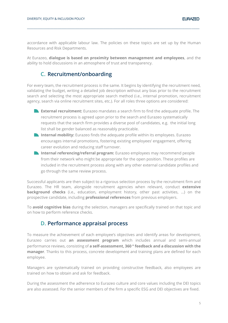**EURAZEO** 

accordance with applicable labour law. The policies on these topics are set up by the Human Resources and Risk Departments.

**\_\_\_\_\_\_\_\_\_\_\_\_\_\_\_\_\_\_\_\_\_\_\_\_\_\_\_\_\_\_\_\_\_\_\_\_\_\_\_\_\_\_\_\_\_\_\_\_\_\_\_\_\_\_\_\_\_\_\_\_\_\_\_\_\_\_\_\_\_\_\_\_\_\_\_\_\_\_\_\_\_\_\_\_\_\_\_\_\_\_\_\_\_\_\_\_\_\_\_\_\_\_\_\_\_\_\_\_\_\_\_\_\_\_\_\_\_\_\_\_\_\_\_\_\_\_\_\_\_\_\_**

At Eurazeo, **dialogue is based on proximity between management and employees**, and the ability to hold discussions in an atmosphere of trust and transparency.

#### **C. Recruitment/onboarding**

<span id="page-4-0"></span>For every team, the recruitment process is the same. It begins by identifying the recruitment need, validating the budget, writing a detailed job description without any bias prior to the recruitment search and selecting the most appropriate search method (i.e., internal promotion, recruitment agency, search via online recruitment sites, etc.). For all roles three options are considered:

- **External recruitment:** Eurazeo mandates a search firm to find the adequate profile. The recruitment process is agreed upon prior to the search and Eurazeo systematically requests that the search firm provides a diverse pool of candidates, e.g. the initial long list shall be gender balanced as reasonably practicable.
- **Internal mobility:** Eurazeo finds the adequate profile within its employees. Eurazeo encourages internal promotions, fostering existing employees' engagement, offering career evolution and reducing staff turnover.
- **Internal referencing/referral program:** Eurazeo employees may recommend people from their network who might be appropriate for the open position. These profiles are included in the recruitment process along with any other external candidate profiles and go through the same review process.

Successful applicants are then subject to a rigorous selection process by the recruitment firm and Eurazeo. The HR team, alongside recruitment agencies when relevant, conduct **extensive background checks** (i.e., education, employment history, other past activities, …) on the prospective candidate, including **professional references** from previous employers.

To **avoid cognitive bias** during the selection, managers are specifically trained on that topic and on how to perform reference checks.

#### **D. Performance appraisal process**

<span id="page-4-1"></span>To measure the achievement of each employee's objectives and identify areas for development, Eurazeo carries out **an assessment program** which includes annual and semi-annual performance reviews, consisting of **a self-assessment, 360 ° feedback and a discussion with the manager**. Thanks to this process, concrete development and training plans are defined for each employee.

Managers are systematically trained on providing constructive feedback, also employees are trained on how to obtain and ask for feedback.

During the assessment the adherence to Eurazeo culture and core values including the DEI topics are also assessed. For the senior members of the firm a specific ESG and DEI objectives are fixed.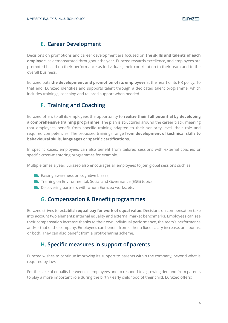#### **E. Career Development**

<span id="page-5-0"></span>Decisions on promotions and career development are focused on **the skills and talents of each employee**, as demonstrated throughout the year. Eurazeo rewards excellence, and employees are promoted based on their performance as individuals, their contribution to their team and to the overall business.

**\_\_\_\_\_\_\_\_\_\_\_\_\_\_\_\_\_\_\_\_\_\_\_\_\_\_\_\_\_\_\_\_\_\_\_\_\_\_\_\_\_\_\_\_\_\_\_\_\_\_\_\_\_\_\_\_\_\_\_\_\_\_\_\_\_\_\_\_\_\_\_\_\_\_\_\_\_\_\_\_\_\_\_\_\_\_\_\_\_\_\_\_\_\_\_\_\_\_\_\_\_\_\_\_\_\_\_\_\_\_\_\_\_\_\_\_\_\_\_\_\_\_\_\_\_\_\_\_\_\_\_**

Eurazeo puts **the development and promotion of its employees** at the heart of its HR policy. To that end, Eurazeo identifies and supports talent through a dedicated talent programme, which includes trainings, coaching and tailored support when needed.

#### **F. Training and Coaching**

<span id="page-5-1"></span>Eurazeo offers to all its employees the opportunity to **realize their full potential by developing a comprehensive training programme**. The plan is structured around the career track, meaning that employees benefit from specific training adapted to their seniority level, their role and required competencies. The proposed trainings range **from development of technical skills to behavioural skills, languages or specific certifications**.

In specific cases, employees can also benefit from tailored sessions with external coaches or specific cross-mentoring programmes for example.

Multiple times a year, Eurazeo also encourages all employees to join global sessions such as:

- **Raising awareness on cognitive biases,**
- **Training on Environmental, Social and Governance (ESG) topics,**
- <span id="page-5-2"></span>Discovering partners with whom Eurazeo works, etc.

#### **G. Compensation & Benefit programmes**

Eurazeo strives to **establish equal pay for work of equal value**. Decisions on compensation take into account two elements: internal equality and external market benchmarks. Employees can see their compensation increase thanks to their own individual performance, the team's performance and/or that of the company. Employees can benefit from either a fixed salary increase, or a bonus, or both. They can also benefit from a profit-sharing scheme.

#### **H. Specific measures in support of parents**

<span id="page-5-3"></span>Eurazeo wishes to continue improving its support to parents within the company, beyond what is required by law.

For the sake of equality between all employees and to respond to a growing demand from parents to play a more important role during the birth / early childhood of their child, Eurazeo offers: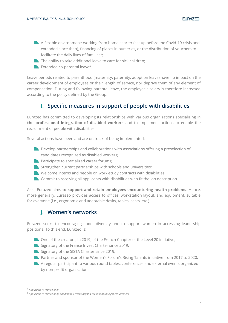A flexible environment: working from home charter (set up before the Covid-19 crisis and extended since then), financing of places in nurseries, or the distribution of vouchers to facilitate the daily lives of families<sup>5</sup>;

**\_\_\_\_\_\_\_\_\_\_\_\_\_\_\_\_\_\_\_\_\_\_\_\_\_\_\_\_\_\_\_\_\_\_\_\_\_\_\_\_\_\_\_\_\_\_\_\_\_\_\_\_\_\_\_\_\_\_\_\_\_\_\_\_\_\_\_\_\_\_\_\_\_\_\_\_\_\_\_\_\_\_\_\_\_\_\_\_\_\_\_\_\_\_\_\_\_\_\_\_\_\_\_\_\_\_\_\_\_\_\_\_\_\_\_\_\_\_\_\_\_\_\_\_\_\_\_\_\_\_\_**

- $\blacksquare$  The ability to take additional leave to care for sick children;
- Extended co-parental leave<sup>6</sup>.

Leave periods related to parenthood (maternity, paternity, adoption leave) have no impact on the career development of employees or their length of service, nor deprive them of any element of compensation. During and following parental leave, the employee's salary is therefore increased according to the policy defined by the Group.

#### **I. Specific measures in support of people with disabilities**

<span id="page-6-0"></span>Eurazeo has committed to developing its relationships with various organizations specializing in **the professional integration of disabled workers** and to implement actions to enable the recruitment of people with disabilities.

Several actions have been and are on track of being implemented:

- **Develop partnerships and collaborations with associations offering a preselection of** candidates recognized as disabled workers;
- **Participate to specialized career forums;**
- $\blacksquare$  Strengthen current partnerships with schools and universities;
- $\blacksquare$  Welcome interns and people on work-study contracts with disabilities;
- Commit to receiving all applicants with disabilities who fit the job description.

Also, Eurazeo aims **to support and retain employees encountering health problems**. Hence, more generally, Eurazeo provides access to offices, workstation layout, and equipment, suitable for everyone (i.e., ergonomic and adaptable desks, tables, seats, etc.)

#### **J. Women's networks**

<span id="page-6-1"></span>Eurazeo seeks to encourage gender diversity and to support women in accessing leadership positions. To this end, Eurazeo is:

- One of the creators, in 2019, of the French Chapter of the Level 20 initiative;
- Signatory of the France Invest Charter since 2019;
- Signatory of the SISTA Charter since 2019;
- **Partner and sponsor of the Women's Forum's Rising Talents initiative from 2017 to 2020,**
- A regular participant to various round tables, conferences and external events organized by non-profit organizations.

<sup>5</sup> *Applicable in France only*

<sup>6</sup> *Applicable in France only, additional 6 weeks beyond the minimum legal requirement*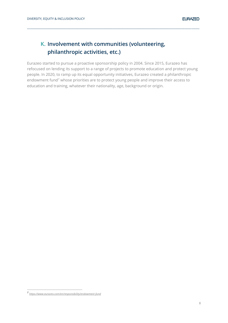#### **K. Involvement with communities (volunteering, philanthropic activities, etc.)**

Eurazeo started to pursue a proactive sponsorship policy in 2004. Since 2015, Eurazeo has refocused on lending its support to a range of projects to promote education and protect young people. In 2020, to ramp up its equal opportunity initiatives, Eurazeo created a philanthropic endowment fund<sup>7</sup> whose priorities are to protect young people and improve their access to education and training, whatever their nationality, age, background or origin.

<span id="page-7-0"></span>**\_\_\_\_\_\_\_\_\_\_\_\_\_\_\_\_\_\_\_\_\_\_\_\_\_\_\_\_\_\_\_\_\_\_\_\_\_\_\_\_\_\_\_\_\_\_\_\_\_\_\_\_\_\_\_\_\_\_\_\_\_\_\_\_\_\_\_\_\_\_\_\_\_\_\_\_\_\_\_\_\_\_\_\_\_\_\_\_\_\_\_\_\_\_\_\_\_\_\_\_\_\_\_\_\_\_\_\_\_\_\_\_\_\_\_\_\_\_\_\_\_\_\_\_\_\_\_\_\_\_\_**

*<sup>7</sup> <https://www.eurazeo.com/en/responsibility/endowment-fund>*